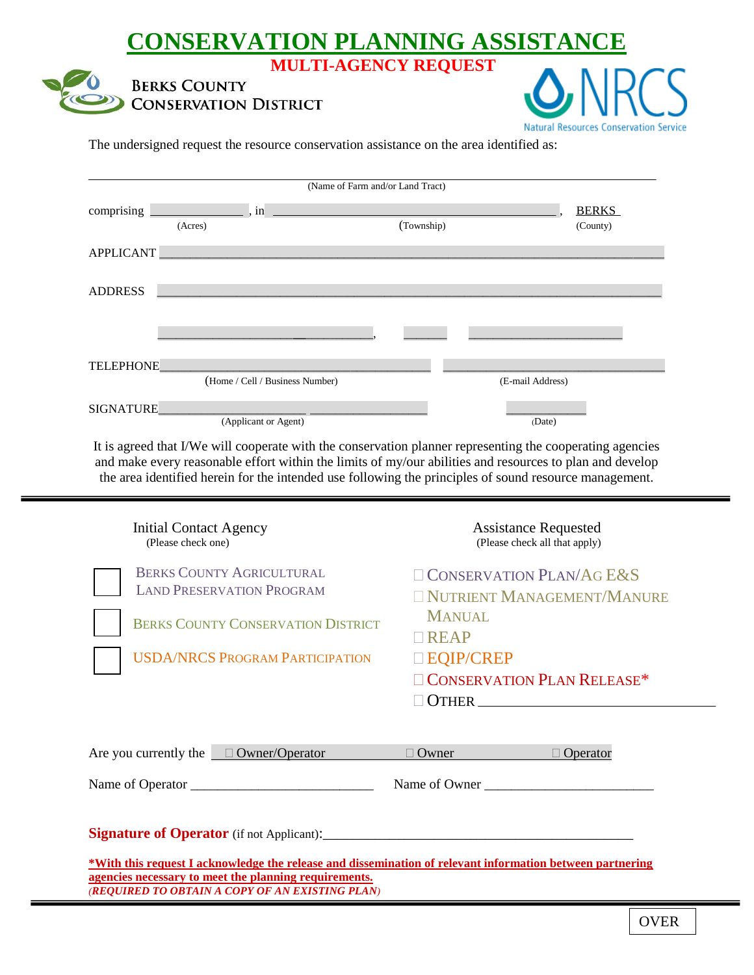## **CONSERVATION PLANNING ASSISTANCE MULTI-AGENCY REQUEST**





The undersigned request the resource conservation assistance on the area identified as:

| (Name of Farm and/or Land Tract) |                                 |  |            |                  |                          |  |
|----------------------------------|---------------------------------|--|------------|------------------|--------------------------|--|
| comprising                       | , in<br>(Acres)                 |  | (Township) |                  | <b>BERKS</b><br>(County) |  |
| <b>APPLICANT</b>                 |                                 |  |            |                  |                          |  |
| <b>ADDRESS</b>                   |                                 |  |            |                  |                          |  |
|                                  |                                 |  |            |                  |                          |  |
| <b>TELEPHONE</b>                 |                                 |  |            |                  |                          |  |
| SIGNATURE                        | (Home / Cell / Business Number) |  |            | (E-mail Address) |                          |  |
|                                  | (Applicant or Agent)            |  |            | (Date)           |                          |  |

It is agreed that I/We will cooperate with the conservation planner representing the cooperating agencies and make every reasonable effort within the limits of my/our abilities and resources to plan and develop the area identified herein for the intended use following the principles of sound resource management.

| <b>Initial Contact Agency</b><br>(Please check one)                                                                                                                | <b>Assistance Requested</b><br>(Please check all that apply) |  |  |  |  |
|--------------------------------------------------------------------------------------------------------------------------------------------------------------------|--------------------------------------------------------------|--|--|--|--|
| <b>BERKS COUNTY AGRICULTURAL</b><br><b>LAND PRESERVATION PROGRAM</b>                                                                                               | $\Box$ CONSERVATION PLAN/AG E&S                              |  |  |  |  |
|                                                                                                                                                                    | NUTRIENT MANAGEMENT/MANURE<br><b>MANUAL</b>                  |  |  |  |  |
| <b>BERKS COUNTY CONSERVATION DISTRICT</b>                                                                                                                          | <b>TREAP</b>                                                 |  |  |  |  |
| <b>USDA/NRCS PROGRAM PARTICIPATION</b>                                                                                                                             | □ EQIP/CREP                                                  |  |  |  |  |
|                                                                                                                                                                    | <b>CONSERVATION PLAN RELEASE*</b>                            |  |  |  |  |
|                                                                                                                                                                    | $\Box$ OTHER                                                 |  |  |  |  |
| Are you currently the $\Box$ Owner/Operator                                                                                                                        | $\Box$ Owner<br>$\Box$ Operator                              |  |  |  |  |
|                                                                                                                                                                    | Name of Owner                                                |  |  |  |  |
|                                                                                                                                                                    |                                                              |  |  |  |  |
| *With this request I acknowledge the release and dissemination of relevant information between partnering<br>agencies necessary to meet the planning requirements. |                                                              |  |  |  |  |

*(REQUIRED TO OBTAIN A COPY OF AN EXISTING PLAN)*